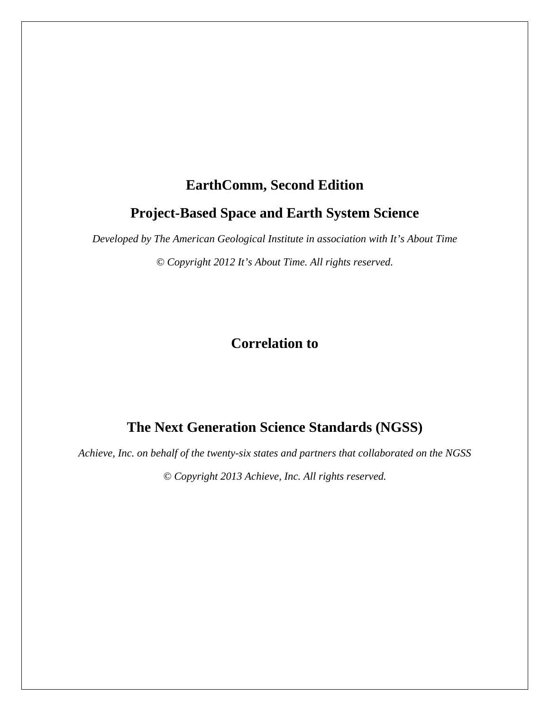# **EarthComm, Second Edition**

### **Project-Based Space and Earth System Science**

*Developed by The American Geological Institute in association with It's About Time* 

*© Copyright 2012 It's About Time. All rights reserved.* 

**Correlation to** 

# **The Next Generation Science Standards (NGSS)**

*Achieve, Inc. on behalf of the twenty-six states and partners that collaborated on the NGSS* 

*© Copyright 2013 Achieve, Inc. All rights reserved.*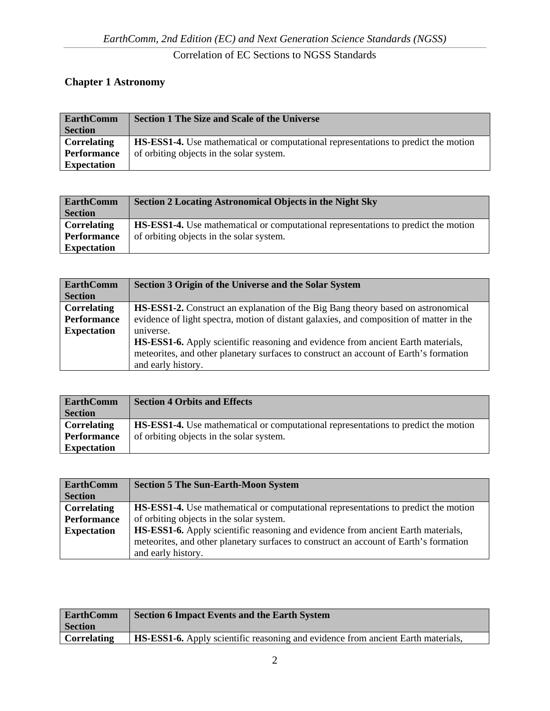#### **Chapter 1 Astronomy**

| <b>EarthComm</b>   | <b>Section 1 The Size and Scale of the Universe</b>                                       |
|--------------------|-------------------------------------------------------------------------------------------|
| <b>Section</b>     |                                                                                           |
| <b>Correlating</b> | <b>HS-ESS1-4.</b> Use mathematical or computational representations to predict the motion |
| <b>Performance</b> | of orbiting objects in the solar system.                                                  |
| <b>Expectation</b> |                                                                                           |

| <b>EarthComm</b>   | <b>Section 2 Locating Astronomical Objects in the Night Sky</b>                           |
|--------------------|-------------------------------------------------------------------------------------------|
| <b>Section</b>     |                                                                                           |
| Correlating        | <b>HS-ESS1-4.</b> Use mathematical or computational representations to predict the motion |
| <b>Performance</b> | of orbiting objects in the solar system.                                                  |
| <b>Expectation</b> |                                                                                           |

| <b>EarthComm</b>   | Section 3 Origin of the Universe and the Solar System                                   |
|--------------------|-----------------------------------------------------------------------------------------|
| <b>Section</b>     |                                                                                         |
| <b>Correlating</b> | HS-ESS1-2. Construct an explanation of the Big Bang theory based on astronomical        |
| <b>Performance</b> | evidence of light spectra, motion of distant galaxies, and composition of matter in the |
| <b>Expectation</b> | universe.                                                                               |
|                    | <b>HS-ESS1-6.</b> Apply scientific reasoning and evidence from ancient Earth materials, |
|                    | meteorites, and other planetary surfaces to construct an account of Earth's formation   |
|                    | and early history.                                                                      |

| <b>EarthComm</b>   | <b>Section 4 Orbits and Effects</b>                                                       |
|--------------------|-------------------------------------------------------------------------------------------|
| <b>Section</b>     |                                                                                           |
| Correlating        | <b>HS-ESS1-4.</b> Use mathematical or computational representations to predict the motion |
| <b>Performance</b> | of orbiting objects in the solar system.                                                  |
| <b>Expectation</b> |                                                                                           |

| <b>EarthComm</b>   | <b>Section 5 The Sun-Earth-Moon System</b>                                                |
|--------------------|-------------------------------------------------------------------------------------------|
| <b>Section</b>     |                                                                                           |
| <b>Correlating</b> | <b>HS-ESS1-4.</b> Use mathematical or computational representations to predict the motion |
| <b>Performance</b> | of orbiting objects in the solar system.                                                  |
| <b>Expectation</b> | <b>HS-ESS1-6.</b> Apply scientific reasoning and evidence from ancient Earth materials,   |
|                    | meteorites, and other planetary surfaces to construct an account of Earth's formation     |
|                    | and early history.                                                                        |

| <b>EarthComm</b>   | Section 6 Impact Events and the Earth System                                            |
|--------------------|-----------------------------------------------------------------------------------------|
| <b>Section</b>     |                                                                                         |
| <b>Correlating</b> | <b>HS-ESS1-6.</b> Apply scientific reasoning and evidence from ancient Earth materials, |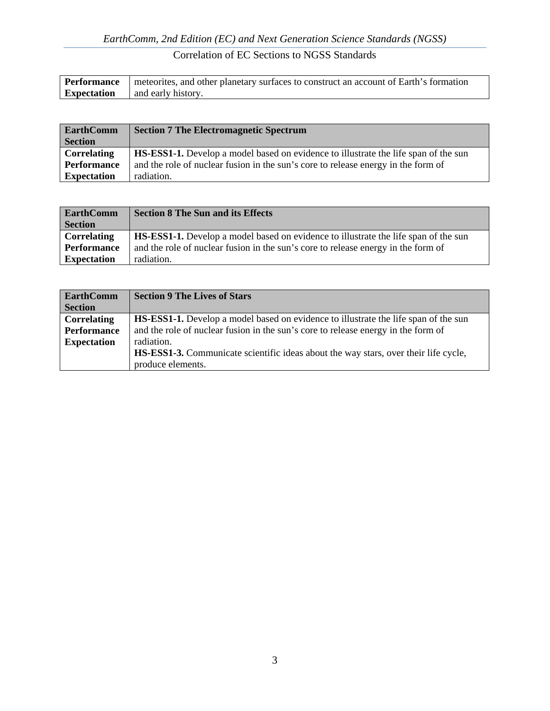| <b>Performance</b> | meteorities, and other planetary surfaces to construct an account of Earth's formation |
|--------------------|----------------------------------------------------------------------------------------|
| <b>Expectation</b> | and early history.                                                                     |

| <b>EarthComm</b>   | <b>Section 7 The Electromagnetic Spectrum</b>                                              |
|--------------------|--------------------------------------------------------------------------------------------|
| <b>Section</b>     |                                                                                            |
| <b>Correlating</b> | <b>HS-ESS1-1.</b> Develop a model based on evidence to illustrate the life span of the sun |
| <b>Performance</b> | and the role of nuclear fusion in the sun's core to release energy in the form of          |
| <b>Expectation</b> | radiation.                                                                                 |

| <b>EarthComm</b>   | <b>Section 8 The Sun and its Effects</b>                                                   |
|--------------------|--------------------------------------------------------------------------------------------|
| <b>Section</b>     |                                                                                            |
| Correlating        | <b>HS-ESS1-1.</b> Develop a model based on evidence to illustrate the life span of the sun |
| <b>Performance</b> | and the role of nuclear fusion in the sun's core to release energy in the form of          |
| <b>Expectation</b> | radiation.                                                                                 |

| <b>EarthComm</b>   | <b>Section 9 The Lives of Stars</b>                                                        |
|--------------------|--------------------------------------------------------------------------------------------|
| <b>Section</b>     |                                                                                            |
| <b>Correlating</b> | <b>HS-ESS1-1.</b> Develop a model based on evidence to illustrate the life span of the sun |
| Performance        | and the role of nuclear fusion in the sun's core to release energy in the form of          |
| <b>Expectation</b> | radiation.                                                                                 |
|                    | <b>HS-ESS1-3.</b> Communicate scientific ideas about the way stars, over their life cycle, |
|                    | produce elements.                                                                          |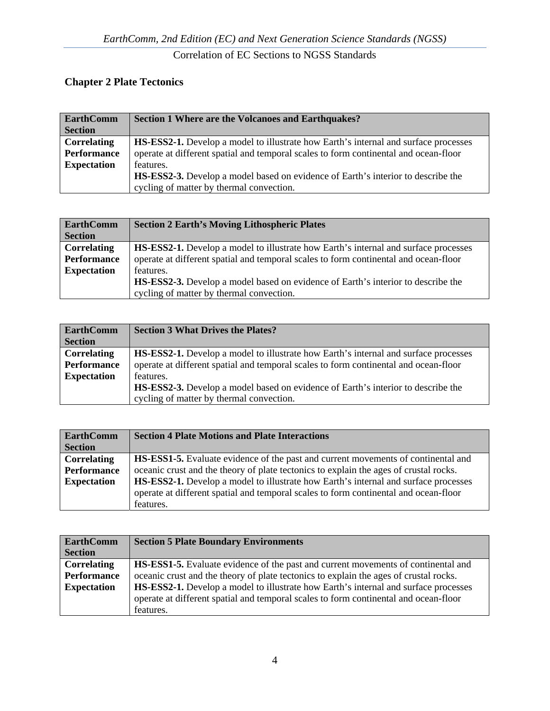# **Chapter 2 Plate Tectonics**

| <b>EarthComm</b>   | Section 1 Where are the Volcanoes and Earthquakes?                                         |
|--------------------|--------------------------------------------------------------------------------------------|
| <b>Section</b>     |                                                                                            |
| <b>Correlating</b> | <b>HS-ESS2-1.</b> Develop a model to illustrate how Earth's internal and surface processes |
| Performance        | operate at different spatial and temporal scales to form continental and ocean-floor       |
| <b>Expectation</b> | features.                                                                                  |
|                    | <b>HS-ESS2-3.</b> Develop a model based on evidence of Earth's interior to describe the    |
|                    | cycling of matter by thermal convection.                                                   |

| <b>EarthComm</b><br><b>Section</b> | <b>Section 2 Earth's Moving Lithospheric Plates</b>                                        |
|------------------------------------|--------------------------------------------------------------------------------------------|
| <b>Correlating</b>                 | <b>HS-ESS2-1.</b> Develop a model to illustrate how Earth's internal and surface processes |
| Performance                        | operate at different spatial and temporal scales to form continental and ocean-floor       |
| <b>Expectation</b>                 | features.                                                                                  |
|                                    | <b>HS-ESS2-3.</b> Develop a model based on evidence of Earth's interior to describe the    |
|                                    | cycling of matter by thermal convection.                                                   |

| <b>EarthComm</b>   | <b>Section 3 What Drives the Plates?</b>                                                   |
|--------------------|--------------------------------------------------------------------------------------------|
| <b>Section</b>     |                                                                                            |
| <b>Correlating</b> | <b>HS-ESS2-1.</b> Develop a model to illustrate how Earth's internal and surface processes |
| Performance        | operate at different spatial and temporal scales to form continental and ocean-floor       |
| <b>Expectation</b> | features.                                                                                  |
|                    | <b>HS-ESS2-3.</b> Develop a model based on evidence of Earth's interior to describe the    |
|                    | cycling of matter by thermal convection.                                                   |

| <b>EarthComm</b>   | <b>Section 4 Plate Motions and Plate Interactions</b>                                      |
|--------------------|--------------------------------------------------------------------------------------------|
| <b>Section</b>     |                                                                                            |
| Correlating        | <b>HS-ESS1-5.</b> Evaluate evidence of the past and current movements of continental and   |
| Performance        | oceanic crust and the theory of plate tectonics to explain the ages of crustal rocks.      |
| <b>Expectation</b> | <b>HS-ESS2-1.</b> Develop a model to illustrate how Earth's internal and surface processes |
|                    | operate at different spatial and temporal scales to form continental and ocean-floor       |
|                    | features.                                                                                  |

| <b>EarthComm</b><br><b>Section</b>                             | <b>Section 5 Plate Boundary Environments</b>                                                                                                                                                                                                                                                                                                                            |
|----------------------------------------------------------------|-------------------------------------------------------------------------------------------------------------------------------------------------------------------------------------------------------------------------------------------------------------------------------------------------------------------------------------------------------------------------|
| <b>Correlating</b><br><b>Performance</b><br><b>Expectation</b> | <b>HS-ESS1-5.</b> Evaluate evidence of the past and current movements of continental and<br>oceanic crust and the theory of plate tectonics to explain the ages of crustal rocks.<br><b>HS-ESS2-1.</b> Develop a model to illustrate how Earth's internal and surface processes<br>operate at different spatial and temporal scales to form continental and ocean-floor |
|                                                                | features.                                                                                                                                                                                                                                                                                                                                                               |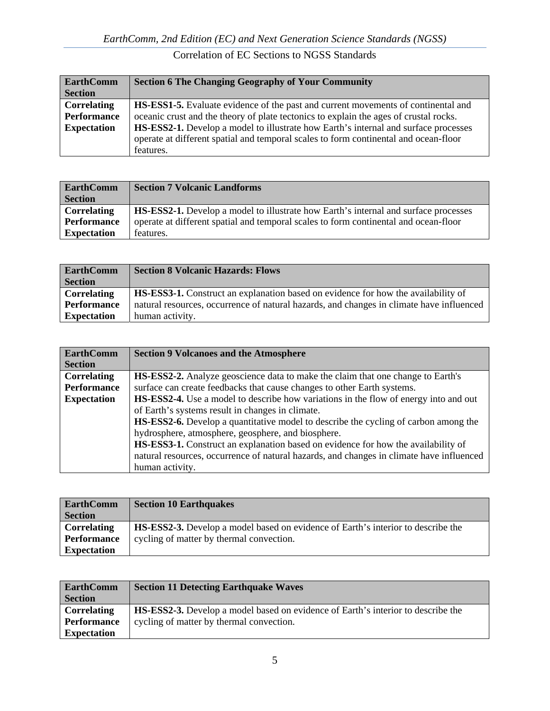| <b>EarthComm</b><br><b>Section</b> | <b>Section 6 The Changing Geography of Your Community</b>                                  |
|------------------------------------|--------------------------------------------------------------------------------------------|
| <b>Correlating</b>                 | <b>HS-ESS1-5.</b> Evaluate evidence of the past and current movements of continental and   |
| <b>Performance</b>                 | oceanic crust and the theory of plate tectonics to explain the ages of crustal rocks.      |
| <b>Expectation</b>                 | <b>HS-ESS2-1.</b> Develop a model to illustrate how Earth's internal and surface processes |
|                                    | operate at different spatial and temporal scales to form continental and ocean-floor       |
|                                    | features.                                                                                  |

| <b>EarthComm</b>   | <b>Section 7 Volcanic Landforms</b>                                                        |
|--------------------|--------------------------------------------------------------------------------------------|
| <b>Section</b>     |                                                                                            |
| <b>Correlating</b> | <b>HS-ESS2-1.</b> Develop a model to illustrate how Earth's internal and surface processes |
| <b>Performance</b> | operate at different spatial and temporal scales to form continental and ocean-floor       |
| <b>Expectation</b> | features.                                                                                  |

| <b>EarthComm</b>   | <b>Section 8 Volcanic Hazards: Flows</b>                                                 |
|--------------------|------------------------------------------------------------------------------------------|
| <b>Section</b>     |                                                                                          |
| <b>Correlating</b> | <b>HS-ESS3-1.</b> Construct an explanation based on evidence for how the availability of |
| Performance        | natural resources, occurrence of natural hazards, and changes in climate have influenced |
| <b>Expectation</b> | human activity.                                                                          |

| <b>EarthComm</b>   | <b>Section 9 Volcanoes and the Atmosphere</b>                                               |
|--------------------|---------------------------------------------------------------------------------------------|
| <b>Section</b>     |                                                                                             |
| <b>Correlating</b> | HS-ESS2-2. Analyze geoscience data to make the claim that one change to Earth's             |
| <b>Performance</b> | surface can create feedbacks that cause changes to other Earth systems.                     |
| <b>Expectation</b> | <b>HS-ESS2-4.</b> Use a model to describe how variations in the flow of energy into and out |
|                    | of Earth's systems result in changes in climate.                                            |
|                    | <b>HS-ESS2-6.</b> Develop a quantitative model to describe the cycling of carbon among the  |
|                    | hydrosphere, atmosphere, geosphere, and biosphere.                                          |
|                    | <b>HS-ESS3-1.</b> Construct an explanation based on evidence for how the availability of    |
|                    | natural resources, occurrence of natural hazards, and changes in climate have influenced    |
|                    | human activity.                                                                             |

| <b>EarthComm</b>   | <b>Section 10 Earthquakes</b>                                                           |
|--------------------|-----------------------------------------------------------------------------------------|
| <b>Section</b>     |                                                                                         |
| <b>Correlating</b> | <b>HS-ESS2-3.</b> Develop a model based on evidence of Earth's interior to describe the |
| <b>Performance</b> | cycling of matter by thermal convection.                                                |
| <b>Expectation</b> |                                                                                         |

| <b>EarthComm</b>   | <b>Section 11 Detecting Earthquake Waves</b>                                            |
|--------------------|-----------------------------------------------------------------------------------------|
| <b>Section</b>     |                                                                                         |
| <b>Correlating</b> | <b>HS-ESS2-3.</b> Develop a model based on evidence of Earth's interior to describe the |
| <b>Performance</b> | cycling of matter by thermal convection.                                                |
| <b>Expectation</b> |                                                                                         |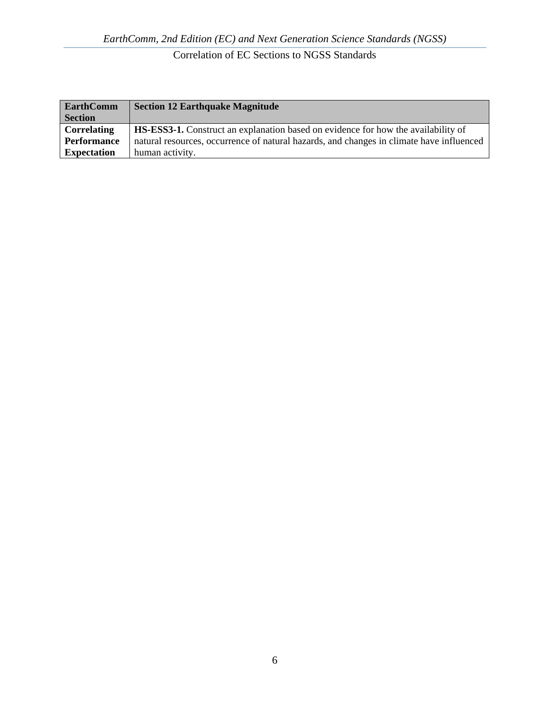| <b>EarthComm</b>   | <b>Section 12 Earthquake Magnitude</b>                                                   |
|--------------------|------------------------------------------------------------------------------------------|
| <b>Section</b>     |                                                                                          |
| Correlating        | <b>HS-ESS3-1.</b> Construct an explanation based on evidence for how the availability of |
| Performance        | natural resources, occurrence of natural hazards, and changes in climate have influenced |
| <b>Expectation</b> | human activity.                                                                          |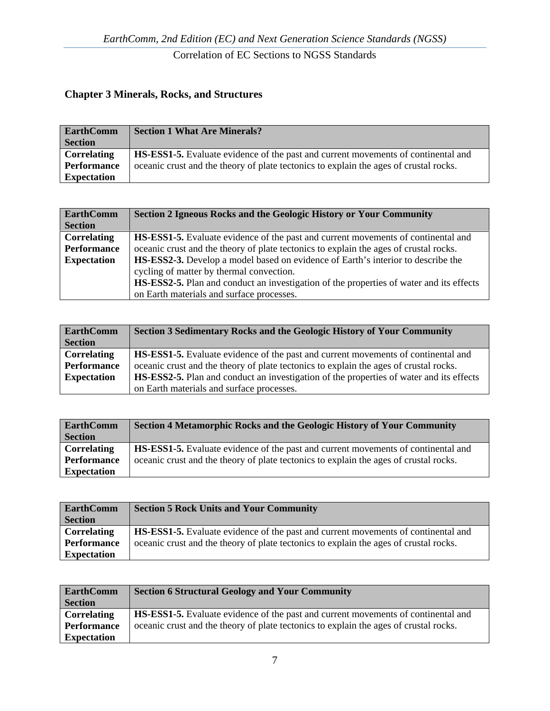#### **Chapter 3 Minerals, Rocks, and Structures**

| <b>EarthComm</b>   | <b>Section 1 What Are Minerals?</b>                                                      |
|--------------------|------------------------------------------------------------------------------------------|
| <b>Section</b>     |                                                                                          |
| Correlating        | <b>HS-ESS1-5.</b> Evaluate evidence of the past and current movements of continental and |
| <b>Performance</b> | oceanic crust and the theory of plate tectonics to explain the ages of crustal rocks.    |
| <b>Expectation</b> |                                                                                          |

| <b>EarthComm</b>   | Section 2 Igneous Rocks and the Geologic History or Your Community                             |
|--------------------|------------------------------------------------------------------------------------------------|
| <b>Section</b>     |                                                                                                |
| <b>Correlating</b> | <b>HS-ESS1-5.</b> Evaluate evidence of the past and current movements of continental and       |
| Performance        | oceanic crust and the theory of plate tectonics to explain the ages of crustal rocks.          |
| <b>Expectation</b> | <b>HS-ESS2-3.</b> Develop a model based on evidence of Earth's interior to describe the        |
|                    | cycling of matter by thermal convection.                                                       |
|                    | <b>HS-ESS2-5.</b> Plan and conduct an investigation of the properties of water and its effects |
|                    | on Earth materials and surface processes.                                                      |

| <b>EarthComm</b>   | <b>Section 3 Sedimentary Rocks and the Geologic History of Your Community</b>                  |
|--------------------|------------------------------------------------------------------------------------------------|
| <b>Section</b>     |                                                                                                |
| <b>Correlating</b> | <b>HS-ESS1-5.</b> Evaluate evidence of the past and current movements of continental and       |
| Performance        | oceanic crust and the theory of plate tectonics to explain the ages of crustal rocks.          |
| <b>Expectation</b> | <b>HS-ESS2-5.</b> Plan and conduct an investigation of the properties of water and its effects |
|                    | on Earth materials and surface processes.                                                      |

| <b>EarthComm</b>   | <b>Section 4 Metamorphic Rocks and the Geologic History of Your Community</b>            |
|--------------------|------------------------------------------------------------------------------------------|
| <b>Section</b>     |                                                                                          |
| <b>Correlating</b> | <b>HS-ESS1-5.</b> Evaluate evidence of the past and current movements of continental and |
| Performance        | oceanic crust and the theory of plate tectonics to explain the ages of crustal rocks.    |
| <b>Expectation</b> |                                                                                          |

| <b>EarthComm</b>   | <b>Section 5 Rock Units and Your Community</b>                                           |
|--------------------|------------------------------------------------------------------------------------------|
| <b>Section</b>     |                                                                                          |
| Correlating        | <b>HS-ESS1-5.</b> Evaluate evidence of the past and current movements of continental and |
| <b>Performance</b> | oceanic crust and the theory of plate tectonics to explain the ages of crustal rocks.    |
| <b>Expectation</b> |                                                                                          |

| <b>EarthComm</b>   | <b>Section 6 Structural Geology and Your Community</b>                                   |
|--------------------|------------------------------------------------------------------------------------------|
| <b>Section</b>     |                                                                                          |
| <b>Correlating</b> | <b>HS-ESS1-5.</b> Evaluate evidence of the past and current movements of continental and |
| <b>Performance</b> | oceanic crust and the theory of plate tectonics to explain the ages of crustal rocks.    |
| <b>Expectation</b> |                                                                                          |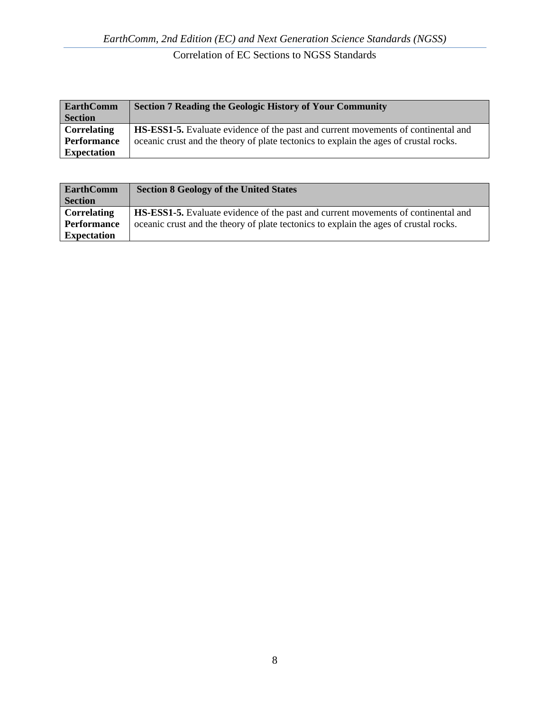| <b>EarthComm</b>   | <b>Section 7 Reading the Geologic History of Your Community</b>                          |
|--------------------|------------------------------------------------------------------------------------------|
| <b>Section</b>     |                                                                                          |
| <b>Correlating</b> | <b>HS-ESS1-5.</b> Evaluate evidence of the past and current movements of continental and |
| <b>Performance</b> | oceanic crust and the theory of plate tectonics to explain the ages of crustal rocks.    |
| <b>Expectation</b> |                                                                                          |

| <b>EarthComm</b>   | <b>Section 8 Geology of the United States</b>                                            |
|--------------------|------------------------------------------------------------------------------------------|
| <b>Section</b>     |                                                                                          |
| Correlating        | <b>HS-ESS1-5.</b> Evaluate evidence of the past and current movements of continental and |
| <b>Performance</b> | oceanic crust and the theory of plate tectonics to explain the ages of crustal rocks.    |
| <b>Expectation</b> |                                                                                          |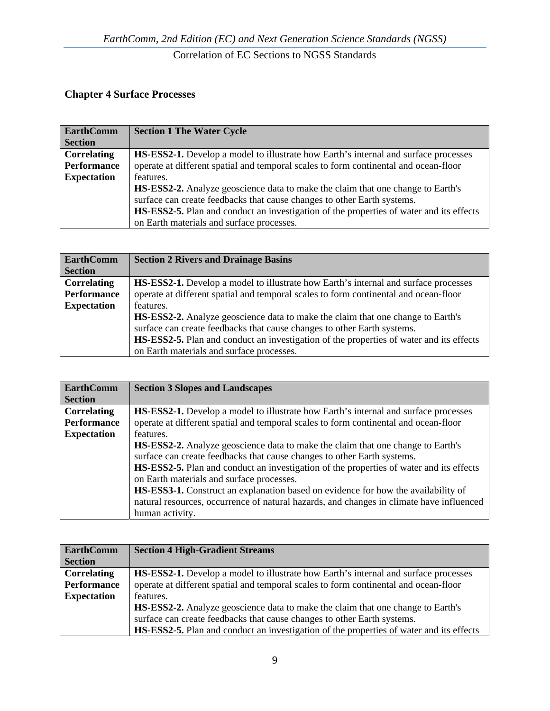#### **Chapter 4 Surface Processes**

| <b>EarthComm</b>   | <b>Section 1 The Water Cycle</b>                                                               |
|--------------------|------------------------------------------------------------------------------------------------|
| <b>Section</b>     |                                                                                                |
| <b>Correlating</b> | <b>HS-ESS2-1.</b> Develop a model to illustrate how Earth's internal and surface processes     |
| Performance        | operate at different spatial and temporal scales to form continental and ocean-floor           |
| <b>Expectation</b> | features.                                                                                      |
|                    | <b>HS-ESS2-2.</b> Analyze geoscience data to make the claim that one change to Earth's         |
|                    | surface can create feedbacks that cause changes to other Earth systems.                        |
|                    | <b>HS-ESS2-5.</b> Plan and conduct an investigation of the properties of water and its effects |
|                    | on Earth materials and surface processes.                                                      |

| <b>EarthComm</b>   | <b>Section 2 Rivers and Drainage Basins</b>                                                    |
|--------------------|------------------------------------------------------------------------------------------------|
| <b>Section</b>     |                                                                                                |
| Correlating        | <b>HS-ESS2-1.</b> Develop a model to illustrate how Earth's internal and surface processes     |
| <b>Performance</b> | operate at different spatial and temporal scales to form continental and ocean-floor           |
| <b>Expectation</b> | features.                                                                                      |
|                    | <b>HS-ESS2-2.</b> Analyze geoscience data to make the claim that one change to Earth's         |
|                    | surface can create feedbacks that cause changes to other Earth systems.                        |
|                    | <b>HS-ESS2-5.</b> Plan and conduct an investigation of the properties of water and its effects |
|                    | on Earth materials and surface processes.                                                      |

| <b>EarthComm</b>   | <b>Section 3 Slopes and Landscapes</b>                                                     |
|--------------------|--------------------------------------------------------------------------------------------|
| <b>Section</b>     |                                                                                            |
| <b>Correlating</b> | <b>HS-ESS2-1.</b> Develop a model to illustrate how Earth's internal and surface processes |
| <b>Performance</b> | operate at different spatial and temporal scales to form continental and ocean-floor       |
| <b>Expectation</b> | features.                                                                                  |
|                    | <b>HS-ESS2-2.</b> Analyze geoscience data to make the claim that one change to Earth's     |
|                    | surface can create feedbacks that cause changes to other Earth systems.                    |
|                    | HS-ESS2-5. Plan and conduct an investigation of the properties of water and its effects    |
|                    | on Earth materials and surface processes.                                                  |
|                    | <b>HS-ESS3-1.</b> Construct an explanation based on evidence for how the availability of   |
|                    | natural resources, occurrence of natural hazards, and changes in climate have influenced   |
|                    | human activity.                                                                            |

| <b>EarthComm</b>   | <b>Section 4 High-Gradient Streams</b>                                                     |
|--------------------|--------------------------------------------------------------------------------------------|
| <b>Section</b>     |                                                                                            |
| <b>Correlating</b> | <b>HS-ESS2-1.</b> Develop a model to illustrate how Earth's internal and surface processes |
| Performance        | operate at different spatial and temporal scales to form continental and ocean-floor       |
| <b>Expectation</b> | features.                                                                                  |
|                    | <b>HS-ESS2-2.</b> Analyze geoscience data to make the claim that one change to Earth's     |
|                    | surface can create feedbacks that cause changes to other Earth systems.                    |
|                    | HS-ESS2-5. Plan and conduct an investigation of the properties of water and its effects    |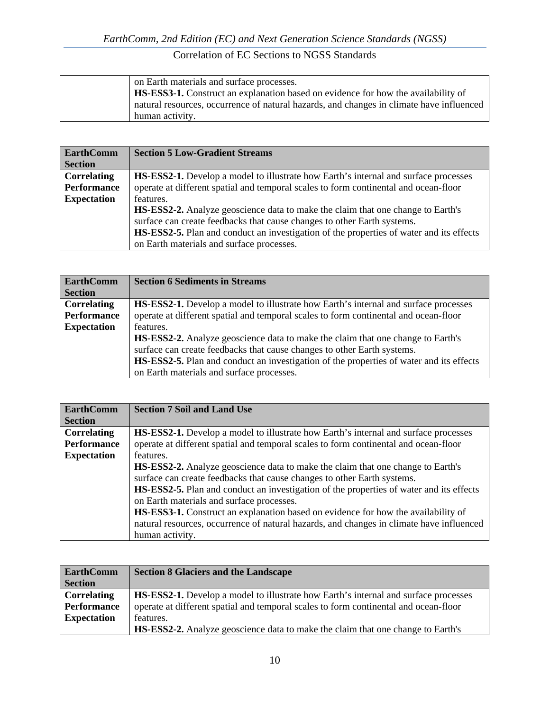| on Earth materials and surface processes.                                                |
|------------------------------------------------------------------------------------------|
| <b>HS-ESS3-1.</b> Construct an explanation based on evidence for how the availability of |
| natural resources, occurrence of natural hazards, and changes in climate have influenced |
| human activity.                                                                          |

| <b>EarthComm</b>   | <b>Section 5 Low-Gradient Streams</b>                                                          |
|--------------------|------------------------------------------------------------------------------------------------|
| <b>Section</b>     |                                                                                                |
| <b>Correlating</b> | <b>HS-ESS2-1.</b> Develop a model to illustrate how Earth's internal and surface processes     |
| <b>Performance</b> | operate at different spatial and temporal scales to form continental and ocean-floor           |
| <b>Expectation</b> | features.                                                                                      |
|                    | <b>HS-ESS2-2.</b> Analyze geoscience data to make the claim that one change to Earth's         |
|                    | surface can create feedbacks that cause changes to other Earth systems.                        |
|                    | <b>HS-ESS2-5.</b> Plan and conduct an investigation of the properties of water and its effects |
|                    | on Earth materials and surface processes.                                                      |

| <b>EarthComm</b>   | <b>Section 6 Sediments in Streams</b>                                                          |
|--------------------|------------------------------------------------------------------------------------------------|
| <b>Section</b>     |                                                                                                |
| <b>Correlating</b> | <b>HS-ESS2-1.</b> Develop a model to illustrate how Earth's internal and surface processes     |
| <b>Performance</b> | operate at different spatial and temporal scales to form continental and ocean-floor           |
| <b>Expectation</b> | features.                                                                                      |
|                    | <b>HS-ESS2-2.</b> Analyze geoscience data to make the claim that one change to Earth's         |
|                    | surface can create feedbacks that cause changes to other Earth systems.                        |
|                    | <b>HS-ESS2-5.</b> Plan and conduct an investigation of the properties of water and its effects |
|                    | on Earth materials and surface processes.                                                      |

| <b>EarthComm</b>   | <b>Section 7 Soil and Land Use</b>                                                         |
|--------------------|--------------------------------------------------------------------------------------------|
| <b>Section</b>     |                                                                                            |
| <b>Correlating</b> | <b>HS-ESS2-1.</b> Develop a model to illustrate how Earth's internal and surface processes |
| <b>Performance</b> | operate at different spatial and temporal scales to form continental and ocean-floor       |
| <b>Expectation</b> | features.                                                                                  |
|                    | <b>HS-ESS2-2.</b> Analyze geoscience data to make the claim that one change to Earth's     |
|                    | surface can create feedbacks that cause changes to other Earth systems.                    |
|                    | HS-ESS2-5. Plan and conduct an investigation of the properties of water and its effects    |
|                    | on Earth materials and surface processes.                                                  |
|                    | <b>HS-ESS3-1.</b> Construct an explanation based on evidence for how the availability of   |
|                    | natural resources, occurrence of natural hazards, and changes in climate have influenced   |
|                    | human activity.                                                                            |

| <b>EarthComm</b>   | <b>Section 8 Glaciers and the Landscape</b>                                                |
|--------------------|--------------------------------------------------------------------------------------------|
| <b>Section</b>     |                                                                                            |
| <b>Correlating</b> | <b>HS-ESS2-1.</b> Develop a model to illustrate how Earth's internal and surface processes |
| <b>Performance</b> | operate at different spatial and temporal scales to form continental and ocean-floor       |
| <b>Expectation</b> | features.                                                                                  |
|                    | <b>HS-ESS2-2.</b> Analyze geoscience data to make the claim that one change to Earth's     |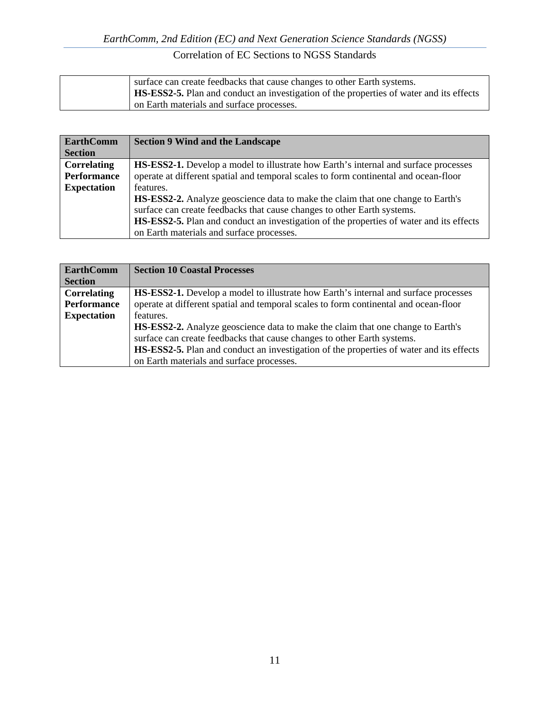| surface can create feedbacks that cause changes to other Earth systems.                        |
|------------------------------------------------------------------------------------------------|
| <b>HS-ESS2-5.</b> Plan and conduct an investigation of the properties of water and its effects |
| on Earth materials and surface processes.                                                      |

| <b>EarthComm</b>   | <b>Section 9 Wind and the Landscape</b>                                                        |
|--------------------|------------------------------------------------------------------------------------------------|
| <b>Section</b>     |                                                                                                |
| Correlating        | <b>HS-ESS2-1.</b> Develop a model to illustrate how Earth's internal and surface processes     |
| <b>Performance</b> | operate at different spatial and temporal scales to form continental and ocean-floor           |
| <b>Expectation</b> | features.                                                                                      |
|                    | HS-ESS2-2. Analyze geoscience data to make the claim that one change to Earth's                |
|                    | surface can create feedbacks that cause changes to other Earth systems.                        |
|                    | <b>HS-ESS2-5.</b> Plan and conduct an investigation of the properties of water and its effects |
|                    | on Earth materials and surface processes.                                                      |

| <b>EarthComm</b>   | <b>Section 10 Coastal Processes</b>                                                        |
|--------------------|--------------------------------------------------------------------------------------------|
| <b>Section</b>     |                                                                                            |
| Correlating        | <b>HS-ESS2-1.</b> Develop a model to illustrate how Earth's internal and surface processes |
| <b>Performance</b> | operate at different spatial and temporal scales to form continental and ocean-floor       |
| <b>Expectation</b> | features.                                                                                  |
|                    | <b>HS-ESS2-2.</b> Analyze geoscience data to make the claim that one change to Earth's     |
|                    | surface can create feedbacks that cause changes to other Earth systems.                    |
|                    | HS-ESS2-5. Plan and conduct an investigation of the properties of water and its effects    |
|                    | on Earth materials and surface processes.                                                  |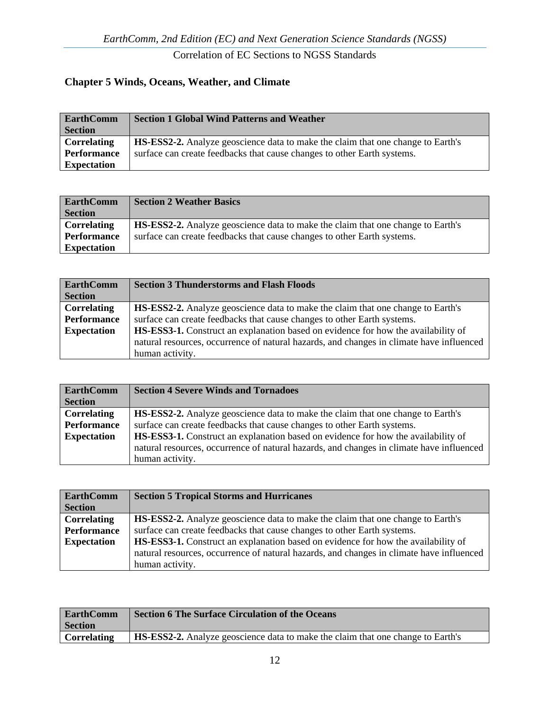#### **Chapter 5 Winds, Oceans, Weather, and Climate**

| <b>EarthComm</b>   | <b>Section 1 Global Wind Patterns and Weather</b>                                      |
|--------------------|----------------------------------------------------------------------------------------|
| <b>Section</b>     |                                                                                        |
| <b>Correlating</b> | <b>HS-ESS2-2.</b> Analyze geoscience data to make the claim that one change to Earth's |
| Performance        | surface can create feedbacks that cause changes to other Earth systems.                |
| <b>Expectation</b> |                                                                                        |

| <b>EarthComm</b>   | <b>Section 2 Weather Basics</b>                                                        |
|--------------------|----------------------------------------------------------------------------------------|
| <b>Section</b>     |                                                                                        |
| Correlating        | <b>HS-ESS2-2.</b> Analyze geoscience data to make the claim that one change to Earth's |
| <b>Performance</b> | surface can create feedbacks that cause changes to other Earth systems.                |
| <b>Expectation</b> |                                                                                        |

| <b>EarthComm</b><br><b>Section</b> | <b>Section 3 Thunderstorms and Flash Floods</b>                                          |
|------------------------------------|------------------------------------------------------------------------------------------|
| <b>Correlating</b>                 | <b>HS-ESS2-2.</b> Analyze geoscience data to make the claim that one change to Earth's   |
| Performance                        | surface can create feedbacks that cause changes to other Earth systems.                  |
| <b>Expectation</b>                 | HS-ESS3-1. Construct an explanation based on evidence for how the availability of        |
|                                    | natural resources, occurrence of natural hazards, and changes in climate have influenced |
|                                    | human activity.                                                                          |

| <b>EarthComm</b>   | <b>Section 4 Severe Winds and Tornadoes</b>                                              |
|--------------------|------------------------------------------------------------------------------------------|
| <b>Section</b>     |                                                                                          |
| <b>Correlating</b> | HS-ESS2-2. Analyze geoscience data to make the claim that one change to Earth's          |
| Performance        | surface can create feedbacks that cause changes to other Earth systems.                  |
| <b>Expectation</b> | <b>HS-ESS3-1.</b> Construct an explanation based on evidence for how the availability of |
|                    | natural resources, occurrence of natural hazards, and changes in climate have influenced |
|                    | human activity.                                                                          |

| <b>EarthComm</b>   | <b>Section 5 Tropical Storms and Hurricanes</b>                                          |
|--------------------|------------------------------------------------------------------------------------------|
| <b>Section</b>     |                                                                                          |
| Correlating        | <b>HS-ESS2-2.</b> Analyze geoscience data to make the claim that one change to Earth's   |
| Performance        | surface can create feedbacks that cause changes to other Earth systems.                  |
| <b>Expectation</b> | HS-ESS3-1. Construct an explanation based on evidence for how the availability of        |
|                    | natural resources, occurrence of natural hazards, and changes in climate have influenced |
|                    | human activity.                                                                          |

| <b>EarthComm</b>   | <b>Section 6 The Surface Circulation of the Oceans</b>                                 |
|--------------------|----------------------------------------------------------------------------------------|
| <b>Section</b>     |                                                                                        |
| <b>Correlating</b> | <b>HS-ESS2-2.</b> Analyze geoscience data to make the claim that one change to Earth's |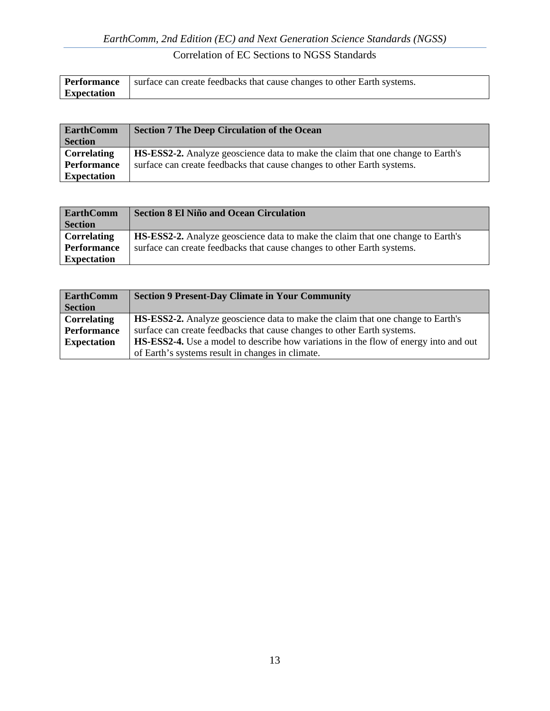|                    | <b>Performance</b> surface can create feedbacks that cause changes to other Earth systems. |
|--------------------|--------------------------------------------------------------------------------------------|
| <b>Expectation</b> |                                                                                            |

| <b>EarthComm</b>   | <b>Section 7 The Deep Circulation of the Ocean</b>                                     |
|--------------------|----------------------------------------------------------------------------------------|
| <b>Section</b>     |                                                                                        |
| <b>Correlating</b> | <b>HS-ESS2-2.</b> Analyze geoscience data to make the claim that one change to Earth's |
| <b>Performance</b> | surface can create feedbacks that cause changes to other Earth systems.                |
| <b>Expectation</b> |                                                                                        |

| <b>EarthComm</b>   | <b>Section 8 El Niño and Ocean Circulation</b>                                         |
|--------------------|----------------------------------------------------------------------------------------|
| <b>Section</b>     |                                                                                        |
| Correlating        | <b>HS-ESS2-2.</b> Analyze geoscience data to make the claim that one change to Earth's |
| <b>Performance</b> | surface can create feedbacks that cause changes to other Earth systems.                |
| <b>Expectation</b> |                                                                                        |

| <b>EarthComm</b>   | <b>Section 9 Present-Day Climate in Your Community</b>                                      |
|--------------------|---------------------------------------------------------------------------------------------|
| <b>Section</b>     |                                                                                             |
| <b>Correlating</b> | <b>HS-ESS2-2.</b> Analyze geoscience data to make the claim that one change to Earth's      |
| <b>Performance</b> | surface can create feedbacks that cause changes to other Earth systems.                     |
| <b>Expectation</b> | <b>HS-ESS2-4.</b> Use a model to describe how variations in the flow of energy into and out |
|                    | of Earth's systems result in changes in climate.                                            |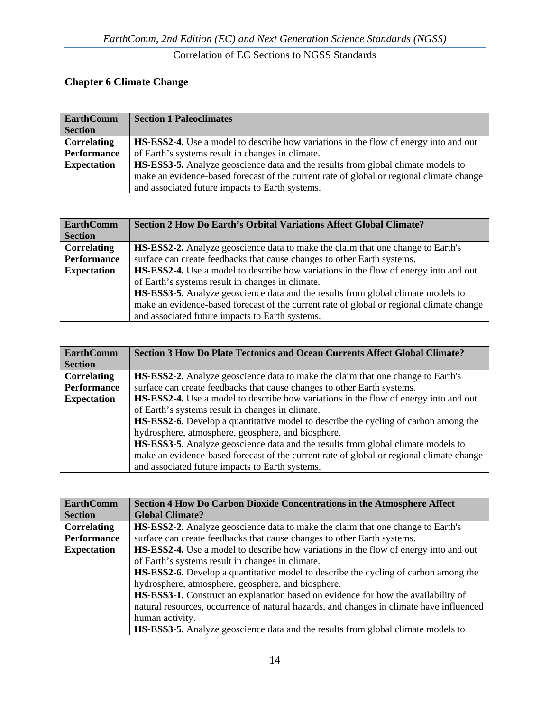# **Chapter 6 Climate Change**

| <b>EarthComm</b>   | <b>Section 1 Paleoclimates</b>                                                              |
|--------------------|---------------------------------------------------------------------------------------------|
| <b>Section</b>     |                                                                                             |
| <b>Correlating</b> | <b>HS-ESS2-4.</b> Use a model to describe how variations in the flow of energy into and out |
| <b>Performance</b> | of Earth's systems result in changes in climate.                                            |
| <b>Expectation</b> | <b>HS-ESS3-5.</b> Analyze geoscience data and the results from global climate models to     |
|                    | make an evidence-based forecast of the current rate of global or regional climate change    |
|                    | and associated future impacts to Earth systems.                                             |

| <b>EarthComm</b><br><b>Section</b> | <b>Section 2 How Do Earth's Orbital Variations Affect Global Climate?</b>                   |
|------------------------------------|---------------------------------------------------------------------------------------------|
| <b>Correlating</b>                 | <b>HS-ESS2-2.</b> Analyze geoscience data to make the claim that one change to Earth's      |
| <b>Performance</b>                 | surface can create feedbacks that cause changes to other Earth systems.                     |
| <b>Expectation</b>                 | <b>HS-ESS2-4.</b> Use a model to describe how variations in the flow of energy into and out |
|                                    | of Earth's systems result in changes in climate.                                            |
|                                    | HS-ESS3-5. Analyze geoscience data and the results from global climate models to            |
|                                    | make an evidence-based forecast of the current rate of global or regional climate change    |
|                                    | and associated future impacts to Earth systems.                                             |

| <b>EarthComm</b>   | <b>Section 3 How Do Plate Tectonics and Ocean Currents Affect Global Climate?</b>          |
|--------------------|--------------------------------------------------------------------------------------------|
| <b>Section</b>     |                                                                                            |
| <b>Correlating</b> | <b>HS-ESS2-2.</b> Analyze geoscience data to make the claim that one change to Earth's     |
| <b>Performance</b> | surface can create feedbacks that cause changes to other Earth systems.                    |
| <b>Expectation</b> | HS-ESS2-4. Use a model to describe how variations in the flow of energy into and out       |
|                    | of Earth's systems result in changes in climate.                                           |
|                    | <b>HS-ESS2-6.</b> Develop a quantitative model to describe the cycling of carbon among the |
|                    | hydrosphere, atmosphere, geosphere, and biosphere.                                         |
|                    | <b>HS-ESS3-5.</b> Analyze geoscience data and the results from global climate models to    |
|                    | make an evidence-based forecast of the current rate of global or regional climate change   |
|                    | and associated future impacts to Earth systems.                                            |

| <b>EarthComm</b>   | <b>Section 4 How Do Carbon Dioxide Concentrations in the Atmosphere Affect</b>              |
|--------------------|---------------------------------------------------------------------------------------------|
| <b>Section</b>     | <b>Global Climate?</b>                                                                      |
| <b>Correlating</b> | <b>HS-ESS2-2.</b> Analyze geoscience data to make the claim that one change to Earth's      |
| <b>Performance</b> | surface can create feedbacks that cause changes to other Earth systems.                     |
| <b>Expectation</b> | <b>HS-ESS2-4.</b> Use a model to describe how variations in the flow of energy into and out |
|                    | of Earth's systems result in changes in climate.                                            |
|                    | <b>HS-ESS2-6.</b> Develop a quantitative model to describe the cycling of carbon among the  |
|                    | hydrosphere, atmosphere, geosphere, and biosphere.                                          |
|                    | <b>HS-ESS3-1.</b> Construct an explanation based on evidence for how the availability of    |
|                    | natural resources, occurrence of natural hazards, and changes in climate have influenced    |
|                    | human activity.                                                                             |
|                    | <b>HS-ESS3-5.</b> Analyze geoscience data and the results from global climate models to     |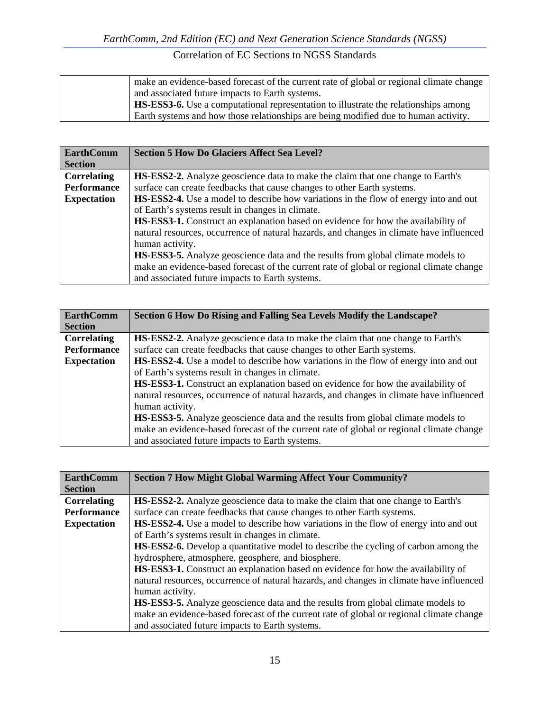| make an evidence-based forecast of the current rate of global or regional climate change   |
|--------------------------------------------------------------------------------------------|
| and associated future impacts to Earth systems.                                            |
| <b>HS-ESS3-6.</b> Use a computational representation to illustrate the relationships among |
| Earth systems and how those relationships are being modified due to human activity.        |

| <b>EarthComm</b>   | <b>Section 5 How Do Glaciers Affect Sea Level?</b>                                          |
|--------------------|---------------------------------------------------------------------------------------------|
| <b>Section</b>     |                                                                                             |
| <b>Correlating</b> | <b>HS-ESS2-2.</b> Analyze geoscience data to make the claim that one change to Earth's      |
| <b>Performance</b> | surface can create feedbacks that cause changes to other Earth systems.                     |
| <b>Expectation</b> | <b>HS-ESS2-4.</b> Use a model to describe how variations in the flow of energy into and out |
|                    | of Earth's systems result in changes in climate.                                            |
|                    | <b>HS-ESS3-1.</b> Construct an explanation based on evidence for how the availability of    |
|                    | natural resources, occurrence of natural hazards, and changes in climate have influenced    |
|                    | human activity.                                                                             |
|                    | <b>HS-ESS3-5.</b> Analyze geoscience data and the results from global climate models to     |
|                    | make an evidence-based forecast of the current rate of global or regional climate change    |
|                    | and associated future impacts to Earth systems.                                             |

| <b>EarthComm</b>   | Section 6 How Do Rising and Falling Sea Levels Modify the Landscape?                     |
|--------------------|------------------------------------------------------------------------------------------|
| <b>Section</b>     |                                                                                          |
| <b>Correlating</b> | <b>HS-ESS2-2.</b> Analyze geoscience data to make the claim that one change to Earth's   |
| <b>Performance</b> | surface can create feedbacks that cause changes to other Earth systems.                  |
| <b>Expectation</b> | HS-ESS2-4. Use a model to describe how variations in the flow of energy into and out     |
|                    | of Earth's systems result in changes in climate.                                         |
|                    | <b>HS-ESS3-1.</b> Construct an explanation based on evidence for how the availability of |
|                    | natural resources, occurrence of natural hazards, and changes in climate have influenced |
|                    | human activity.                                                                          |
|                    | <b>HS-ESS3-5.</b> Analyze geoscience data and the results from global climate models to  |
|                    | make an evidence-based forecast of the current rate of global or regional climate change |
|                    | and associated future impacts to Earth systems.                                          |

| <b>Section 7 How Might Global Warming Affect Your Community?</b>                                                                                                                                                                                          |
|-----------------------------------------------------------------------------------------------------------------------------------------------------------------------------------------------------------------------------------------------------------|
| <b>HS-ESS2-2.</b> Analyze geoscience data to make the claim that one change to Earth's<br>surface can create feedbacks that cause changes to other Earth systems.                                                                                         |
| <b>HS-ESS2-4.</b> Use a model to describe how variations in the flow of energy into and out<br>of Earth's systems result in changes in climate.                                                                                                           |
| <b>HS-ESS2-6.</b> Develop a quantitative model to describe the cycling of carbon among the                                                                                                                                                                |
| hydrosphere, atmosphere, geosphere, and biosphere.<br><b>HS-ESS3-1.</b> Construct an explanation based on evidence for how the availability of<br>natural resources, occurrence of natural hazards, and changes in climate have influenced                |
| human activity.<br><b>HS-ESS3-5.</b> Analyze geoscience data and the results from global climate models to<br>make an evidence-based forecast of the current rate of global or regional climate change<br>and associated future impacts to Earth systems. |
|                                                                                                                                                                                                                                                           |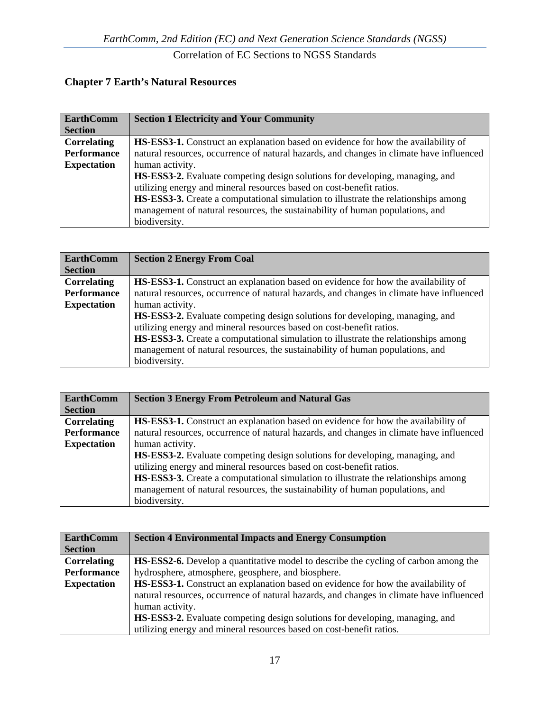# **Chapter 7 Earth's Natural Resources**

| <b>EarthComm</b>   | <b>Section 1 Electricity and Your Community</b>                                           |
|--------------------|-------------------------------------------------------------------------------------------|
| <b>Section</b>     |                                                                                           |
| <b>Correlating</b> | <b>HS-ESS3-1.</b> Construct an explanation based on evidence for how the availability of  |
| <b>Performance</b> | natural resources, occurrence of natural hazards, and changes in climate have influenced  |
| <b>Expectation</b> | human activity.                                                                           |
|                    | <b>HS-ESS3-2.</b> Evaluate competing design solutions for developing, managing, and       |
|                    | utilizing energy and mineral resources based on cost-benefit ratios.                      |
|                    | <b>HS-ESS3-3.</b> Create a computational simulation to illustrate the relationships among |
|                    | management of natural resources, the sustainability of human populations, and             |
|                    | biodiversity.                                                                             |

| <b>EarthComm</b>   | <b>Section 2 Energy From Coal</b>                                                        |
|--------------------|------------------------------------------------------------------------------------------|
| <b>Section</b>     |                                                                                          |
| Correlating        | <b>HS-ESS3-1.</b> Construct an explanation based on evidence for how the availability of |
| <b>Performance</b> | natural resources, occurrence of natural hazards, and changes in climate have influenced |
| <b>Expectation</b> | human activity.                                                                          |
|                    | HS-ESS3-2. Evaluate competing design solutions for developing, managing, and             |
|                    | utilizing energy and mineral resources based on cost-benefit ratios.                     |
|                    | HS-ESS3-3. Create a computational simulation to illustrate the relationships among       |
|                    | management of natural resources, the sustainability of human populations, and            |
|                    | biodiversity.                                                                            |

| <b>EarthComm</b>   | <b>Section 3 Energy From Petroleum and Natural Gas</b>                                    |
|--------------------|-------------------------------------------------------------------------------------------|
| <b>Section</b>     |                                                                                           |
| <b>Correlating</b> | <b>HS-ESS3-1.</b> Construct an explanation based on evidence for how the availability of  |
| Performance        | natural resources, occurrence of natural hazards, and changes in climate have influenced  |
| <b>Expectation</b> | human activity.                                                                           |
|                    | HS-ESS3-2. Evaluate competing design solutions for developing, managing, and              |
|                    | utilizing energy and mineral resources based on cost-benefit ratios.                      |
|                    | <b>HS-ESS3-3.</b> Create a computational simulation to illustrate the relationships among |
|                    | management of natural resources, the sustainability of human populations, and             |
|                    | biodiversity.                                                                             |

| <b>EarthComm</b>   | <b>Section 4 Environmental Impacts and Energy Consumption</b>                              |
|--------------------|--------------------------------------------------------------------------------------------|
| <b>Section</b>     |                                                                                            |
| <b>Correlating</b> | <b>HS-ESS2-6.</b> Develop a quantitative model to describe the cycling of carbon among the |
| <b>Performance</b> | hydrosphere, atmosphere, geosphere, and biosphere.                                         |
| <b>Expectation</b> | HS-ESS3-1. Construct an explanation based on evidence for how the availability of          |
|                    | natural resources, occurrence of natural hazards, and changes in climate have influenced   |
|                    | human activity.                                                                            |
|                    | <b>HS-ESS3-2.</b> Evaluate competing design solutions for developing, managing, and        |
|                    | utilizing energy and mineral resources based on cost-benefit ratios.                       |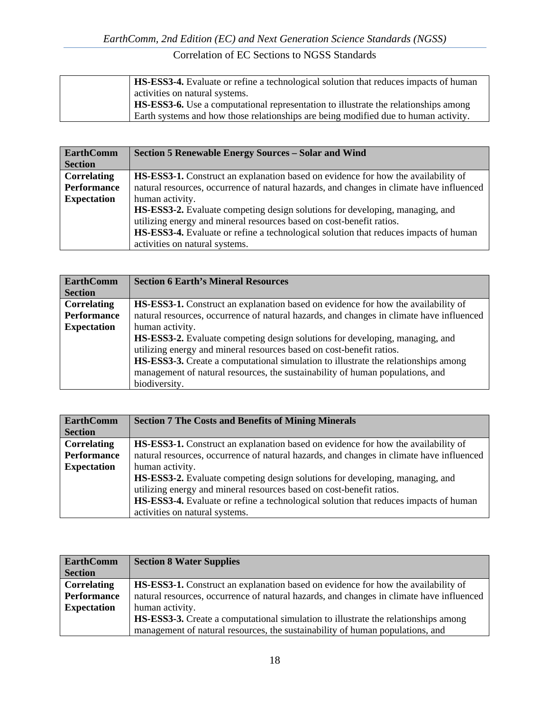| <b>HS-ESS3-4.</b> Evaluate or refine a technological solution that reduces impacts of human |
|---------------------------------------------------------------------------------------------|
| activities on natural systems.                                                              |
| <b>HS-ESS3-6.</b> Use a computational representation to illustrate the relationships among  |
| Earth systems and how those relationships are being modified due to human activity.         |

| <b>EarthComm</b>   | <b>Section 5 Renewable Energy Sources - Solar and Wind</b>                                  |
|--------------------|---------------------------------------------------------------------------------------------|
| <b>Section</b>     |                                                                                             |
| Correlating        | <b>HS-ESS3-1.</b> Construct an explanation based on evidence for how the availability of    |
| Performance        | natural resources, occurrence of natural hazards, and changes in climate have influenced    |
| <b>Expectation</b> | human activity.                                                                             |
|                    | HS-ESS3-2. Evaluate competing design solutions for developing, managing, and                |
|                    | utilizing energy and mineral resources based on cost-benefit ratios.                        |
|                    | <b>HS-ESS3-4.</b> Evaluate or refine a technological solution that reduces impacts of human |
|                    | activities on natural systems.                                                              |

| <b>EarthComm</b>   | <b>Section 6 Earth's Mineral Resources</b>                                               |
|--------------------|------------------------------------------------------------------------------------------|
| <b>Section</b>     |                                                                                          |
| <b>Correlating</b> | <b>HS-ESS3-1.</b> Construct an explanation based on evidence for how the availability of |
| <b>Performance</b> | natural resources, occurrence of natural hazards, and changes in climate have influenced |
| <b>Expectation</b> | human activity.                                                                          |
|                    | <b>HS-ESS3-2.</b> Evaluate competing design solutions for developing, managing, and      |
|                    | utilizing energy and mineral resources based on cost-benefit ratios.                     |
|                    | HS-ESS3-3. Create a computational simulation to illustrate the relationships among       |
|                    | management of natural resources, the sustainability of human populations, and            |
|                    | biodiversity.                                                                            |

| <b>EarthComm</b>   | <b>Section 7 The Costs and Benefits of Mining Minerals</b>                               |
|--------------------|------------------------------------------------------------------------------------------|
| <b>Section</b>     |                                                                                          |
| <b>Correlating</b> | <b>HS-ESS3-1.</b> Construct an explanation based on evidence for how the availability of |
| Performance        | natural resources, occurrence of natural hazards, and changes in climate have influenced |
| <b>Expectation</b> | human activity.                                                                          |
|                    | <b>HS-ESS3-2.</b> Evaluate competing design solutions for developing, managing, and      |
|                    | utilizing energy and mineral resources based on cost-benefit ratios.                     |
|                    | HS-ESS3-4. Evaluate or refine a technological solution that reduces impacts of human     |
|                    | activities on natural systems.                                                           |

| <b>EarthComm</b>   | <b>Section 8 Water Supplies</b>                                                           |
|--------------------|-------------------------------------------------------------------------------------------|
| <b>Section</b>     |                                                                                           |
| <b>Correlating</b> | <b>HS-ESS3-1.</b> Construct an explanation based on evidence for how the availability of  |
| Performance        | natural resources, occurrence of natural hazards, and changes in climate have influenced  |
| <b>Expectation</b> | human activity.                                                                           |
|                    | <b>HS-ESS3-3.</b> Create a computational simulation to illustrate the relationships among |
|                    | management of natural resources, the sustainability of human populations, and             |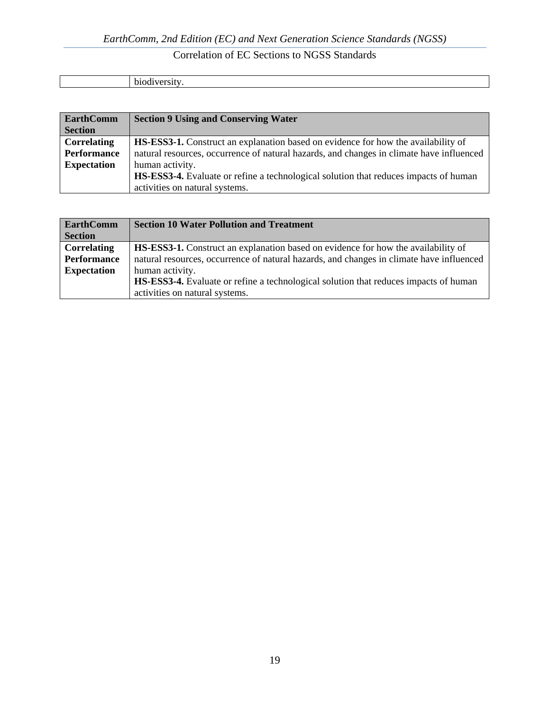| . . |
|-----|
|-----|

| <b>EarthComm</b><br><b>Section</b> | <b>Section 9 Using and Conserving Water</b>                                                 |
|------------------------------------|---------------------------------------------------------------------------------------------|
| <b>Correlating</b>                 | <b>HS-ESS3-1.</b> Construct an explanation based on evidence for how the availability of    |
| <b>Performance</b>                 | natural resources, occurrence of natural hazards, and changes in climate have influenced    |
| <b>Expectation</b>                 | human activity.                                                                             |
|                                    | <b>HS-ESS3-4.</b> Evaluate or refine a technological solution that reduces impacts of human |
|                                    | activities on natural systems.                                                              |

| <b>EarthComm</b>   | <b>Section 10 Water Pollution and Treatment</b>                                             |
|--------------------|---------------------------------------------------------------------------------------------|
| <b>Section</b>     |                                                                                             |
| <b>Correlating</b> | <b>HS-ESS3-1.</b> Construct an explanation based on evidence for how the availability of    |
| Performance        | natural resources, occurrence of natural hazards, and changes in climate have influenced    |
| <b>Expectation</b> | human activity.                                                                             |
|                    | <b>HS-ESS3-4.</b> Evaluate or refine a technological solution that reduces impacts of human |
|                    | activities on natural systems.                                                              |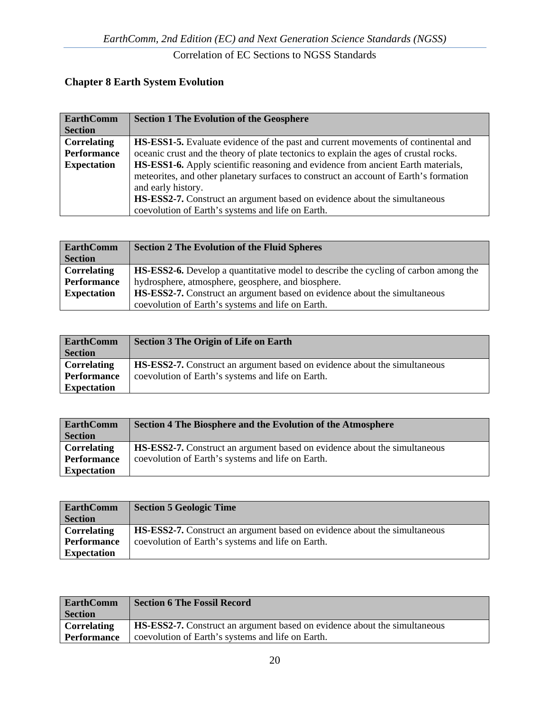# **Chapter 8 Earth System Evolution**

| <b>EarthComm</b>   | <b>Section 1 The Evolution of the Geosphere</b>                                          |
|--------------------|------------------------------------------------------------------------------------------|
| <b>Section</b>     |                                                                                          |
| <b>Correlating</b> | <b>HS-ESS1-5.</b> Evaluate evidence of the past and current movements of continental and |
| Performance        | oceanic crust and the theory of plate tectonics to explain the ages of crustal rocks.    |
| <b>Expectation</b> | HS-ESS1-6. Apply scientific reasoning and evidence from ancient Earth materials,         |
|                    | meteorites, and other planetary surfaces to construct an account of Earth's formation    |
|                    | and early history.                                                                       |
|                    | <b>HS-ESS2-7.</b> Construct an argument based on evidence about the simultaneous         |
|                    | coevolution of Earth's systems and life on Earth.                                        |

| <b>EarthComm</b>   | <b>Section 2 The Evolution of the Fluid Spheres</b>                                        |
|--------------------|--------------------------------------------------------------------------------------------|
| <b>Section</b>     |                                                                                            |
| Correlating        | <b>HS-ESS2-6.</b> Develop a quantitative model to describe the cycling of carbon among the |
| Performance        | hydrosphere, atmosphere, geosphere, and biosphere.                                         |
| <b>Expectation</b> | <b>HS-ESS2-7.</b> Construct an argument based on evidence about the simultaneous           |
|                    | coevolution of Earth's systems and life on Earth.                                          |

| <b>EarthComm</b>   | <b>Section 3 The Origin of Life on Earth</b>                                     |
|--------------------|----------------------------------------------------------------------------------|
| <b>Section</b>     |                                                                                  |
| Correlating        | <b>HS-ESS2-7.</b> Construct an argument based on evidence about the simultaneous |
| <b>Performance</b> | coevolution of Earth's systems and life on Earth.                                |
| <b>Expectation</b> |                                                                                  |

| <b>EarthComm</b>   | Section 4 The Biosphere and the Evolution of the Atmosphere                      |
|--------------------|----------------------------------------------------------------------------------|
| <b>Section</b>     |                                                                                  |
| <b>Correlating</b> | <b>HS-ESS2-7.</b> Construct an argument based on evidence about the simultaneous |
| <b>Performance</b> | coevolution of Earth's systems and life on Earth.                                |
| <b>Expectation</b> |                                                                                  |

| EarthComm<br><b>Section</b> | <b>Section 5 Geologic Time</b>                                                   |
|-----------------------------|----------------------------------------------------------------------------------|
| Correlating                 | <b>HS-ESS2-7.</b> Construct an argument based on evidence about the simultaneous |
| <b>Performance</b>          | coevolution of Earth's systems and life on Earth.                                |
| <b>Expectation</b>          |                                                                                  |

| <b>EarthComm</b><br><b>Section</b> | <b>Section 6 The Fossil Record</b>                                        |
|------------------------------------|---------------------------------------------------------------------------|
| <b>Correlating</b>                 | HS-ESS2-7. Construct an argument based on evidence about the simultaneous |
| Performance                        | coevolution of Earth's systems and life on Earth.                         |